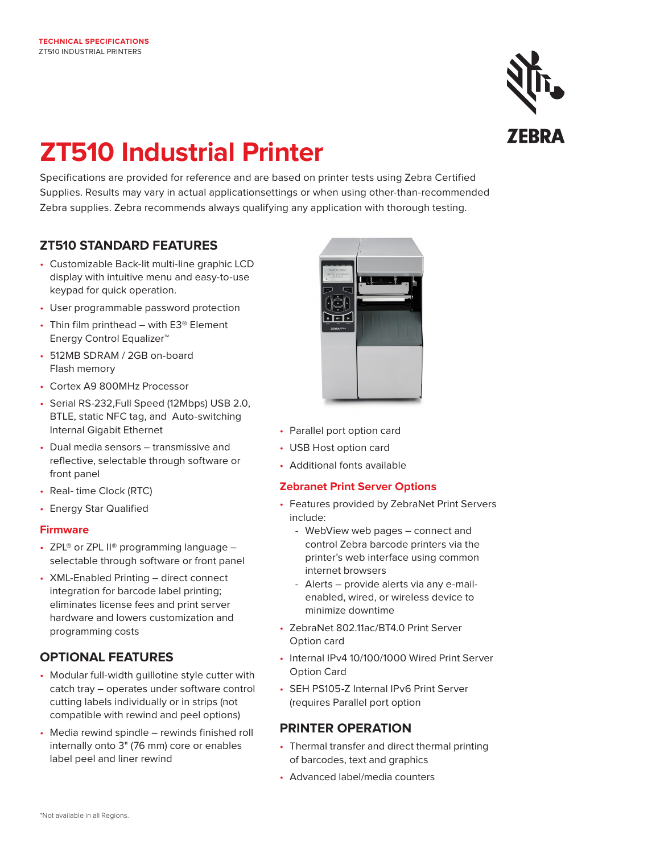

# **ZT510 Industrial Printer**

Specifications are provided for reference and are based on printer tests using Zebra Certified Supplies. Results may vary in actual applicationsettings or when using other-than-recommended Zebra supplies. Zebra recommends always qualifying any application with thorough testing.

# **ZT510 STANDARD FEATURES**

- Customizable Back-lit multi-line graphic LCD display with intuitive menu and easy-to-use keypad for quick operation.
- User programmable password protection
- Thin film printhead with E3® Element Energy Control Equalizer™
- 512MB SDRAM / 2GB on-board Flash memory
- Cortex A9 800MHz Processor
- Serial RS-232,Full Speed (12Mbps) USB 2.0, BTLE, static NFC tag, and Auto-switching Internal Gigabit Ethernet
- Dual media sensors transmissive and reflective, selectable through software or front panel
- Real- time Clock (RTC)
- Energy Star Qualified

### **Firmware**

- ZPL® or ZPL II® programming language  $$ selectable through software or front panel
- XML-Enabled Printing direct connect integration for barcode label printing; eliminates license fees and print server hardware and lowers customization and programming costs

# **OPTIONAL FEATURES**

- Modular full-width guillotine style cutter with catch tray – operates under software control cutting labels individually or in strips (not compatible with rewind and peel options)
- Media rewind spindle rewinds finished roll internally onto 3" (76 mm) core or enables label peel and liner rewind



- Parallel port option card
- USB Host option card
- Additional fonts available

## **Zebranet Print Server Options**

- Features provided by ZebraNet Print Servers include:
	- WebView web pages connect and control Zebra barcode printers via the printer's web interface using common internet browsers
	- Alerts provide alerts via any e-mail enabled, wired, or wireless device to minimize downtime
- ZebraNet 802.11ac/BT4.0 Print Server Option card
- Internal IPv4 10/100/1000 Wired Print Server Option Card
- SEH PS105-Z Internal IPv6 Print Server (requires Parallel port option

# **PRINTER OPERATION**

- Thermal transfer and direct thermal printing of barcodes, text and graphics
- Advanced label/media counters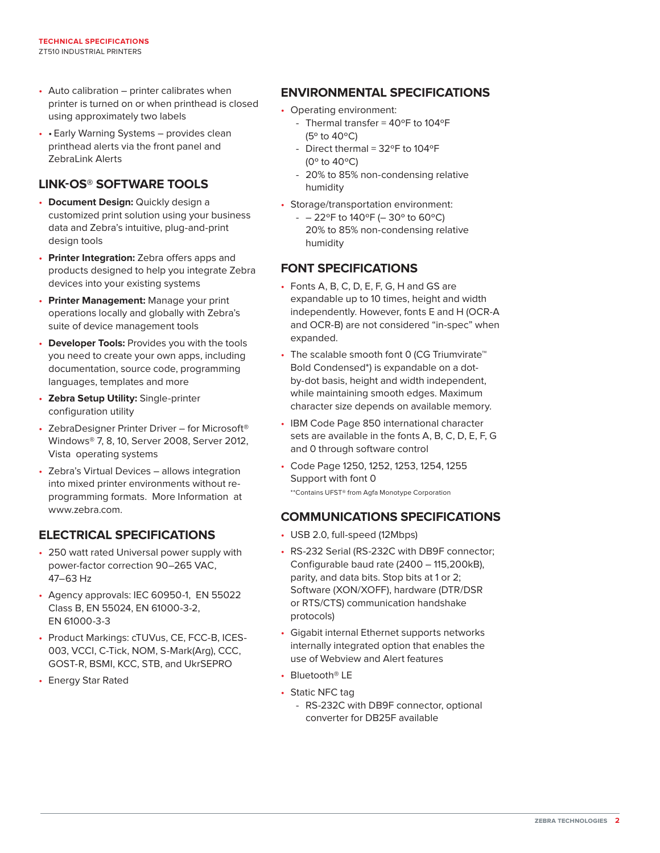- Auto calibration printer calibrates when printer is turned on or when printhead is closed using approximately two labels
- • Early Warning Systems provides clean printhead alerts via the front panel and ZebraLink Alerts

# **LINK-OS® SOFTWARE TOOLS**

- **Document Design:** Quickly design a customized print solution using your business data and Zebra's intuitive, plug-and-print design tools
- **Printer Integration:** Zebra offers apps and products designed to help you integrate Zebra devices into your existing systems
- **Printer Management:** Manage your print operations locally and globally with Zebra's suite of device management tools
- **Developer Tools:** Provides you with the tools you need to create your own apps, including documentation, source code, programming languages, templates and more
- **Zebra Setup Utility:** Single-printer configuration utility
- ZebraDesigner Printer Driver for Microsoft® Windows® 7, 8, 10, Server 2008, Server 2012, Vista operating systems
- Zebra's Virtual Devices allows integration into mixed printer environments without reprogramming formats. More Information at www.zebra.com.

## **ELECTRICAL SPECIFICATIONS**

- 250 watt rated Universal power supply with power-factor correction 90–265 VAC, 47–63 Hz
- Agency approvals: IEC 60950-1, EN 55022 Class B, EN 55024, EN 61000-3-2, EN 61000-3-3
- Product Markings: cTUVus, CE, FCC-B, ICES-003, VCCI, C-Tick, NOM, S-Mark(Arg), CCC, GOST-R, BSMI, KCC, STB, and UkrSEPRO
- Energy Star Rated

# **ENVIRONMENTAL SPECIFICATIONS**

- Operating environment:
	- Thermal transfer =  $40^{\circ}$ F to  $104^{\circ}$ F (5º to 40ºC)
	- Direct thermal =  $32^{\circ}$ F to  $104^{\circ}$ F (0º to 40ºC)
	- 20% to 85% non-condensing relative humidity
- Storage/transportation environment:
	- $-$  22°F to 140°F (-30° to 60°C) 20% to 85% non-condensing relative humidity

# **FONT SPECIFICATIONS**

- Fonts A, B, C, D, E, F, G, H and GS are expandable up to 10 times, height and width independently. However, fonts E and H (OCR-A and OCR-B) are not considered "in-spec" when expanded.
- The scalable smooth font 0 (CG Triumvirate<sup>™</sup> Bold Condensed\*) is expandable on a dotby-dot basis, height and width independent, while maintaining smooth edges. Maximum character size depends on available memory.
- IBM Code Page 850 international character sets are available in the fonts A, B, C, D, E, F, G and 0 through software control
- Code Page 1250, 1252, 1253, 1254, 1255 Support with font 0 \*\*Contains UFST® from Agfa Monotype Corporation

## **COMMUNICATIONS SPECIFICATIONS**

- USB 2.0, full-speed (12Mbps)
- RS-232 Serial (RS-232C with DB9F connector; Configurable baud rate (2400 – 115,200kB), parity, and data bits. Stop bits at 1 or 2; Software (XON/XOFF), hardware (DTR/DSR or RTS/CTS) communication handshake protocols)
- Gigabit internal Ethernet supports networks internally integrated option that enables the use of Webview and Alert features
- Bluetooth® LE
- Static NFC tag
	- RS-232C with DB9F connector, optional converter for DB25F available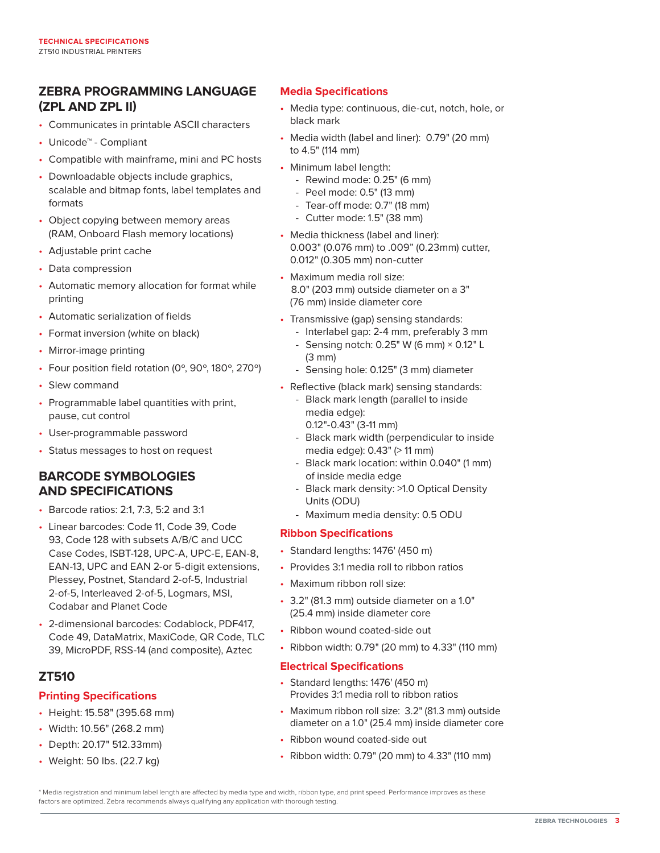# **ZEBRA PROGRAMMING LANGUAGE (ZPL AND ZPL II)**

- Communicates in printable ASCII characters
- Unicode™ Compliant
- Compatible with mainframe, mini and PC hosts
- Downloadable objects include graphics, scalable and bitmap fonts, label templates and formats
- Object copying between memory areas (RAM, Onboard Flash memory locations)
- Adjustable print cache
- Data compression
- Automatic memory allocation for format while printing
- Automatic serialization of fields
- Format inversion (white on black)
- Mirror-image printing
- Four position field rotation (0º, 90º, 180º, 270º)
- Slew command
- Programmable label quantities with print, pause, cut control
- User-programmable password
- Status messages to host on request

## **BARCODE SYMBOLOGIES AND SPECIFICATIONS**

- Barcode ratios: 2:1, 7:3, 5:2 and 3:1
- Linear barcodes: Code 11, Code 39, Code 93, Code 128 with subsets A/B/C and UCC Case Codes, ISBT-128, UPC-A, UPC-E, EAN-8, EAN-13, UPC and EAN 2-or 5-digit extensions, Plessey, Postnet, Standard 2-of-5, Industrial 2-of-5, Interleaved 2-of-5, Logmars, MSI, Codabar and Planet Code
- 2-dimensional barcodes: Codablock, PDF417, Code 49, DataMatrix, MaxiCode, QR Code, TLC 39, MicroPDF, RSS-14 (and composite), Aztec

## **ZT510**

#### **Printing Specifications**

- Height: 15.58" (395.68 mm)
- Width: 10.56" (268.2 mm)
- Depth: 20.17" 512.33mm)
- Weight: 50 lbs. (22.7 kg)

#### **Media Specifications**

- Media type: continuous, die-cut, notch, hole, or black mark
- Media width (label and liner): 0.79" (20 mm) to 4.5" (114 mm)
- Minimum label length:
	- Rewind mode: 0.25" (6 mm)
	- Peel mode: 0.5" (13 mm)
	- Tear-off mode: 0.7" (18 mm)
	- Cutter mode: 1.5" (38 mm)
- Media thickness (label and liner): 0.003" (0.076 mm) to .009" (0.23mm) cutter, 0.012" (0.305 mm) non-cutter
- Maximum media roll size: 8.0" (203 mm) outside diameter on a 3" (76 mm) inside diameter core
- Transmissive (gap) sensing standards:
	- Interlabel gap: 2-4 mm, preferably 3 mm - Sensing notch:  $0.25$ " W (6 mm)  $\times$  0.12" L
	- (3 mm)
- Sensing hole: 0.125" (3 mm) diameter
- Reflective (black mark) sensing standards:
	- Black mark length (parallel to inside media edge):
		- 0.12"-0.43" (3-11 mm)
	- Black mark width (perpendicular to inside media edge): 0.43" (> 11 mm)
	- Black mark location: within 0.040" (1 mm) of inside media edge
	- Black mark density: >1.0 Optical Density Units (ODU)
	- Maximum media density: 0.5 ODU

#### **Ribbon Specifications**

- Standard lengths: 1476' (450 m)
- Provides 3:1 media roll to ribbon ratios
- Maximum ribbon roll size:
- 3.2" (81.3 mm) outside diameter on a 1.0" (25.4 mm) inside diameter core
- Ribbon wound coated-side out
- Ribbon width: 0.79" (20 mm) to 4.33" (110 mm)

#### **Electrical Specifications**

- Standard lengths: 1476' (450 m) Provides 3:1 media roll to ribbon ratios
- Maximum ribbon roll size: 3.2" (81.3 mm) outside diameter on a 1.0" (25.4 mm) inside diameter core
- Ribbon wound coated-side out
- Ribbon width: 0.79" (20 mm) to 4.33" (110 mm)

\* Media registration and minimum label length are affected by media type and width, ribbon type, and print speed. Performance improves as these factors are optimized. Zebra recommends always qualifying any application with thorough testing.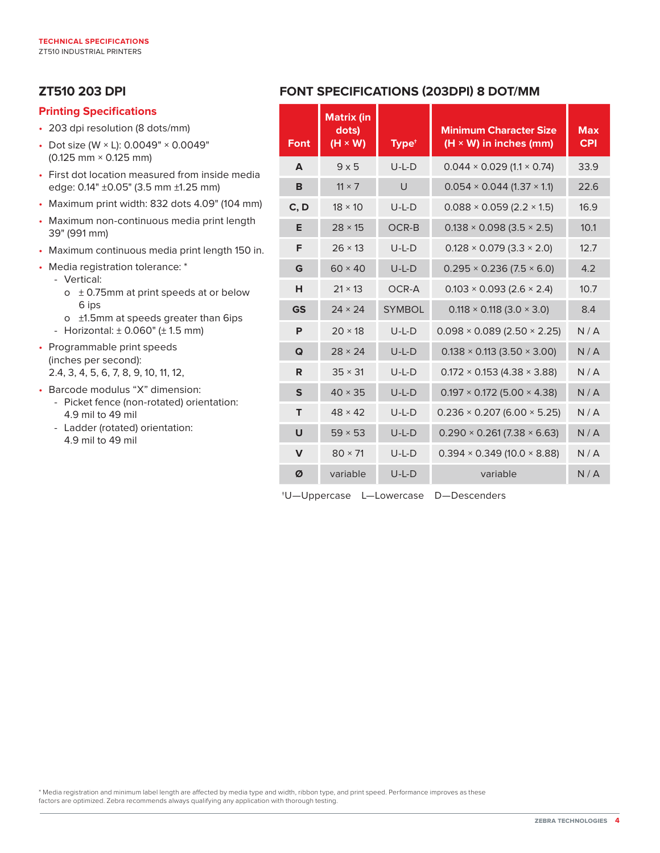# **ZT510 203 DPI**

#### **Printing Specifications**

- 203 dpi resolution (8 dots/mm)
- Dot size (W × L): 0.0049" × 0.0049" (0.125 mm × 0.125 mm)
- First dot location measured from inside media edge: 0.14" ±0.05" (3.5 mm ±1.25 mm)
- Maximum print width: 832 dots 4.09" (104 mm)
- Maximum non-continuous media print length 39" (991 mm)
- Maximum continuous media print length 150 in.
- Media registration tolerance: \*
	- Vertical:
		- $\circ$  ± 0.75mm at print speeds at or below 6 ips
		- o ±1.5mm at speeds greater than 6ips
	- Horizontal: ± 0.060" (± 1.5 mm)
- Programmable print speeds (inches per second): 2.4, 3, 4, 5, 6, 7, 8, 9, 10, 11, 12,
- Barcode modulus "X" dimension:
	- Picket fence (non-rotated) orientation: 4.9 mil to 49 mil
	- Ladder (rotated) orientation: 4.9 mil to 49 mil

# **FONT SPECIFICATIONS (203DPI) 8 DOT/MM**

| <b>Font</b>  | <b>Matrix (in</b><br>dots)<br>$(H \times W)$ | Type <sup>+</sup> | <b>Minimum Character Size</b><br>$(H \times W)$ in inches (mm) | <b>Max</b><br><b>CPI</b> |
|--------------|----------------------------------------------|-------------------|----------------------------------------------------------------|--------------------------|
| A            | $9 \times 5$                                 | $U-L-D$           | $0.044 \times 0.029$ (1.1 $\times$ 0.74)                       | 33.9                     |
| B            | $11 \times 7$                                | $\cup$            | $0.054 \times 0.044$ (1.37 $\times$ 1.1)                       | 22.6                     |
| C, D         | $18 \times 10$                               | $U-L-D$           | $0.088 \times 0.059$ (2.2 $\times$ 1.5)                        | 16.9                     |
| Е            | $28 \times 15$                               | OCR-B             | $0.138 \times 0.098$ (3.5 $\times$ 2.5)                        | 10.1                     |
| F            | $26 \times 13$                               | $U-L-D$           | $0.128 \times 0.079$ (3.3 $\times$ 2.0)                        | 12.7                     |
| G            | $60 \times 40$                               | $U-L-D$           | $0.295 \times 0.236$ (7.5 $\times$ 6.0)                        | 4.2                      |
| н            | $21 \times 13$                               | OCR-A             | $0.103 \times 0.093$ (2.6 $\times$ 2.4)                        | 10.7                     |
| <b>GS</b>    | $24 \times 24$                               | <b>SYMBOL</b>     | $0.118 \times 0.118$ (3.0 $\times$ 3.0)                        | 8.4                      |
| P            | $20 \times 18$                               | $U-I-D$           | $0.098 \times 0.089$ (2.50 $\times$ 2.25)                      | N/A                      |
| Q            | $28 \times 24$                               | $U-L-D$           | $0.138 \times 0.113$ (3.50 $\times$ 3.00)                      | N/A                      |
| R            | $35 \times 31$                               | $U-L-D$           | $0.172 \times 0.153$ (4.38 $\times$ 3.88)                      | N/A                      |
| $\mathsf{s}$ | $40 \times 35$                               | $U-L-D$           | $0.197 \times 0.172$ (5.00 $\times$ 4.38)                      | N/A                      |
| T            | $48 \times 42$                               | $U-L-D$           | $0.236 \times 0.207$ (6.00 $\times$ 5.25)                      | N/A                      |
| U            | $59 \times 53$                               | $U-L-D$           | $0.290 \times 0.261 (7.38 \times 6.63)$                        | N/A                      |
| $\mathbf v$  | $80 \times 71$                               | $U-L-D$           | $0.394 \times 0.349$ (10.0 $\times$ 8.88)                      | N/A                      |
| Ø            | variable                                     | $U-L-D$           | variable                                                       | N/A                      |

†U—Uppercase L—Lowercase D—Descenders

\* Media registration and minimum label length are affected by media type and width, ribbon type, and print speed. Performance improves as these factors are optimized. Zebra recommends always qualifying any application with thorough testing.